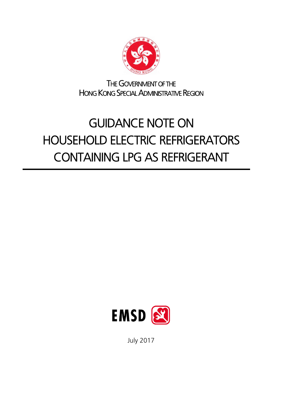

THE GOVERNMENT OF THE HONG KONG SPECIAL ADMINISTRATIVE REGION

# GUIDANCE NOTE ON HOUSEHOLD ELECTRIC REFRIGERATORS CONTAINING LPG AS REFRIGERANT



July 2017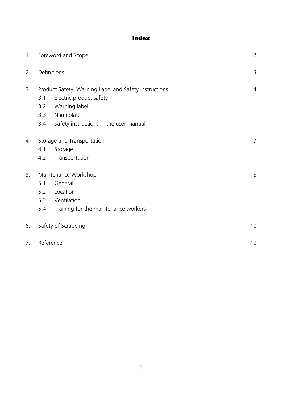# **Index**

| 1 <sub>1</sub> | Foreword and Scope                                                                                              |                                                     | $\overline{2}$ |
|----------------|-----------------------------------------------------------------------------------------------------------------|-----------------------------------------------------|----------------|
| 2.             | Definitions                                                                                                     |                                                     | $\mathcal{E}$  |
| 3.             | Product Safety, Warning Label and Safety Instructions<br>Electric product safety<br>3.1<br>Warning label<br>3.2 |                                                     | $\overline{4}$ |
|                | 3.3<br>3.4                                                                                                      | Nameplate<br>Safety instructions in the user manual |                |
| 4              | Storage and Transportation                                                                                      |                                                     | $\overline{7}$ |
|                | 4.1                                                                                                             | Storage                                             |                |
|                | 4.2                                                                                                             | Transportation                                      |                |
| 5.             | Maintenance Workshop                                                                                            |                                                     | 8              |
|                | 5.1                                                                                                             | General                                             |                |
|                | 5.2                                                                                                             | Location                                            |                |
|                | 5.3                                                                                                             | Ventilation                                         |                |
|                | 5.4                                                                                                             | Training for the maintenance workers                |                |
| 6.             | Safety of Scrapping                                                                                             |                                                     | 10             |
| 7.             | Reference                                                                                                       |                                                     | 10             |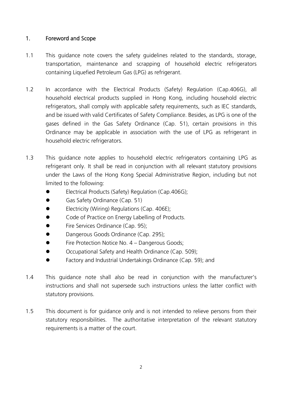## 1. Foreword and Scope

- 1.1 This guidance note covers the safety guidelines related to the standards, storage, transportation, maintenance and scrapping of household electric refrigerators containing Liquefied Petroleum Gas (LPG) as refrigerant.
- 1.2 In accordance with the Electrical Products (Safety) Regulation (Cap.406G), all household electrical products supplied in Hong Kong, including household electric refrigerators, shall comply with applicable safety requirements, such as IEC standards, and be issued with valid Certificates of Safety Compliance. Besides, as LPG is one of the gases defined in the Gas Safety Ordinance (Cap. 51), certain provisions in this Ordinance may be applicable in association with the use of LPG as refrigerant in household electric refrigerators.
- 1.3 This guidance note applies to household electric refrigerators containing LPG as refrigerant only. It shall be read in conjunction with all relevant statutory provisions under the Laws of the Hong Kong Special Administrative Region, including but not limited to the following:
	- Electrical Products (Safety) Regulation (Cap.406G);
	- Gas Safety Ordinance (Cap. 51)
	- Electricity (Wiring) Regulations (Cap. 406E);
	- $\bullet$  Code of Practice on Energy Labelling of Products.
	- **•** Fire Services Ordinance (Cap. 95):
	- **•** Dangerous Goods Ordinance (Cap. 295):
	- **Fire Protection Notice No. 4 Dangerous Goods:**
	- Occupational Safety and Health Ordinance (Cap. 509);
	- **•** Factory and Industrial Undertakings Ordinance (Cap. 59); and
- 1.4 This guidance note shall also be read in conjunction with the manufacturer's instructions and shall not supersede such instructions unless the latter conflict with statutory provisions.
- 1.5 This document is for guidance only and is not intended to relieve persons from their statutory responsibilities. The authoritative interpretation of the relevant statutory requirements is a matter of the court.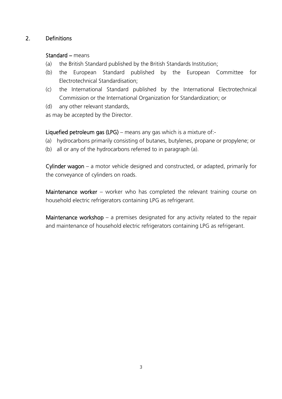## 2. Definitions

#### Standard – means

- (a) the British Standard published by the British Standards Institution;
- (b) the European Standard published by the European Committee for Electrotechnical Standardisation;
- (c) the International Standard published by the International Electrotechnical Commission or the International Organization for Standardization; or
- (d) any other relevant standards,
- as may be accepted by the Director.

Liquefied petroleum gas (LPG) – means any gas which is a mixture of:-

- (a) hydrocarbons primarily consisting of butanes, butylenes, propane or propylene; or
- (b) all or any of the hydrocarbons referred to in paragraph (a).

Cylinder wagon – a motor vehicle designed and constructed, or adapted, primarily for the conveyance of cylinders on roads.

Maintenance worker – worker who has completed the relevant training course on household electric refrigerators containing LPG as refrigerant.

Maintenance workshop  $-$  a premises designated for any activity related to the repair and maintenance of household electric refrigerators containing LPG as refrigerant.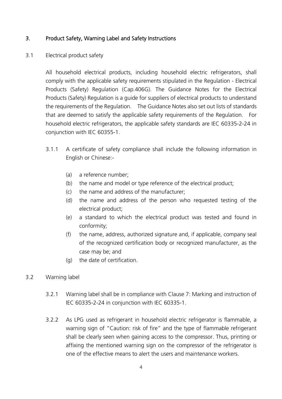## 3. Product Safety, Warning Label and Safety Instructions

#### 3.1 Electrical product safety

All household electrical products, including household electric refrigerators, shall comply with the applicable safety requirements stipulated in the Regulation - Electrical Products (Safety) Regulation (Cap.406G). The Guidance Notes for the Electrical Products (Safety) Regulation is a guide for suppliers of electrical products to understand the requirements of the Regulation. The Guidance Notes also set out lists of standards that are deemed to satisfy the applicable safety requirements of the Regulation. For household electric refrigerators, the applicable safety standards are IEC 60335-2-24 in conjunction with IEC 60355-1.

- 3.1.1 A certificate of safety compliance shall include the following information in English or Chinese:-
	- (a) a reference number;
	- (b) the name and model or type reference of the electrical product;
	- (c) the name and address of the manufacturer;
	- (d) the name and address of the person who requested testing of the electrical product;
	- (e) a standard to which the electrical product was tested and found in conformity;
	- (f) the name, address, authorized signature and, if applicable, company seal of the recognized certification body or recognized manufacturer, as the case may be; and
	- (g) the date of certification.
- 3.2 Warning label
	- 3.2.1 Warning label shall be in compliance with Clause 7: Marking and instruction of IEC 60335-2-24 in conjunction with IEC 60335-1.
	- 3.2.2 As LPG used as refrigerant in household electric refrigerator is flammable, a warning sign of "Caution: risk of fire" and the type of flammable refrigerant shall be clearly seen when gaining access to the compressor. Thus, printing or affixing the mentioned warning sign on the compressor of the refrigerator is one of the effective means to alert the users and maintenance workers.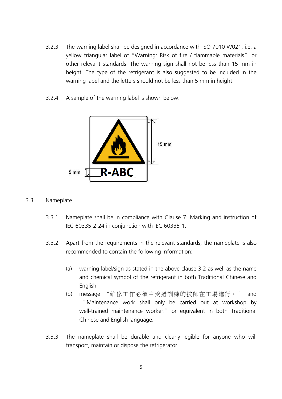- 3.2.3 The warning label shall be designed in accordance with ISO 7010 W021, i.e. a yellow triangular label of "Warning: Risk of fire / flammable materials", or other relevant standards. The warning sign shall not be less than 15 mm in height. The type of the refrigerant is also suggested to be included in the warning label and the letters should not be less than 5 mm in height.
- 3.2.4 A sample of the warning label is shown below:



#### 3.3 Nameplate

- 3.3.1 Nameplate shall be in compliance with Clause 7: Marking and instruction of IEC 60335-2-24 in conjunction with IEC 60335-1.
- 3.3.2 Apart from the requirements in the relevant standards, the nameplate is also recommended to contain the following information:-
	- (a) warning label/sign as stated in the above clause 3.2 as well as the name and chemical symbol of the refrigerant in both Traditional Chinese and English;
	- (b) message "維修工作必須由受過訓練的技師在工場進行。" and " Maintenance work shall only be carried out at workshop by well-trained maintenance worker." or equivalent in both Traditional Chinese and English language.
- 3.3.3 The nameplate shall be durable and clearly legible for anyone who will transport, maintain or dispose the refrigerator.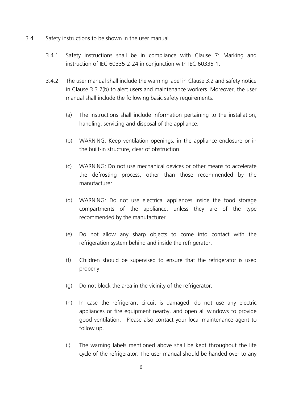- 3.4 Safety instructions to be shown in the user manual
	- 3.4.1 Safety instructions shall be in compliance with Clause 7: Marking and instruction of IEC 60335-2-24 in conjunction with IEC 60335-1.
	- 3.4.2 The user manual shall include the warning label in Clause 3.2 and safety notice in Clause 3.3.2(b) to alert users and maintenance workers. Moreover, the user manual shall include the following basic safety requirements:
		- (a) The instructions shall include information pertaining to the installation, handling, servicing and disposal of the appliance.
		- (b) WARNING: Keep ventilation openings, in the appliance enclosure or in the built-in structure, clear of obstruction.
		- (c) WARNING: Do not use mechanical devices or other means to accelerate the defrosting process, other than those recommended by the manufacturer
		- (d) WARNING: Do not use electrical appliances inside the food storage compartments of the appliance, unless they are of the type recommended by the manufacturer.
		- (e) Do not allow any sharp objects to come into contact with the refrigeration system behind and inside the refrigerator.
		- (f) Children should be supervised to ensure that the refrigerator is used properly.
		- (g) Do not block the area in the vicinity of the refrigerator.
		- (h) In case the refrigerant circuit is damaged, do not use any electric appliances or fire equipment nearby, and open all windows to provide good ventilation. Please also contact your local maintenance agent to follow up.
		- (i) The warning labels mentioned above shall be kept throughout the life cycle of the refrigerator. The user manual should be handed over to any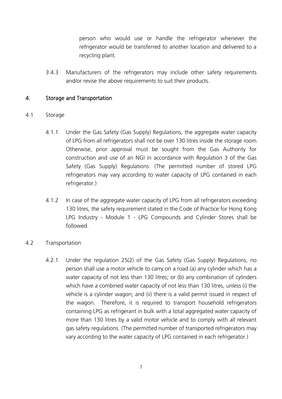person who would use or handle the refrigerator whenever the refrigerator would be transferred to another location and delivered to a recycling plant.

3.4.3 Manufacturers of the refrigerators may include other safety requirements and/or revise the above requirements to suit their products.

## 4. Storage and Transportation

## 4.1 Storage

- 4.1.1 Under the Gas Safety (Gas Supply) Regulations, the aggregate water capacity of LPG from all refrigerators shall not be over 130 litres inside the storage room. Otherwise, prior approval must be sought from the Gas Authority for construction and use of an NGI in accordance with Regulation 3 of the Gas Safety (Gas Supply) Regulations. (The permitted number of stored LPG refrigerators may vary according to water capacity of LPG contained in each refrigerator.)
- 4.1.2 In case of the aggregate water capacity of LPG from all refrigerators exceeding 130 litres, the safety requirement stated in the Code of Practice for Hong Kong LPG Industry - Module 1 - LPG Compounds and Cylinder Stores shall be followed.

## 4.2 Transportation

4.2.1 Under the regulation 25(2) of the Gas Safety (Gas Supply) Regulations, no person shall use a motor vehicle to carry on a road (a) any cylinder which has a water capacity of not less than 130 litres; or (b) any combination of cylinders which have a combined water capacity of not less than 130 litres, unless (i) the vehicle is a cylinder wagon; and (ii) there is a valid permit issued in respect of the wagon. Therefore, it is required to transport household refrigerators containing LPG as refrigerant in bulk with a total aggregated water capacity of more than 130 litres by a valid motor vehicle and to comply with all relevant gas safety regulations. (The permitted number of transported refrigerators may vary according to the water capacity of LPG contained in each refrigerator.)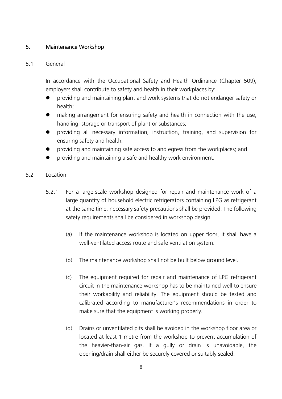# 5. Maintenance Workshop

## 5.1 General

In accordance with the Occupational Safety and Health Ordinance (Chapter 509), employers shall contribute to safety and health in their workplaces by:

- providing and maintaining plant and work systems that do not endanger safety or health;
- making arrangement for ensuring safety and health in connection with the use, handling, storage or transport of plant or substances;
- providing all necessary information, instruction, training, and supervision for ensuring safety and health;
- providing and maintaining safe access to and egress from the workplaces; and
- providing and maintaining a safe and healthy work environment.

## 5.2 Location

- 5.2.1 For a large-scale workshop designed for repair and maintenance work of a large quantity of household electric refrigerators containing LPG as refrigerant at the same time, necessary safety precautions shall be provided. The following safety requirements shall be considered in workshop design.
	- (a) If the maintenance workshop is located on upper floor, it shall have a well-ventilated access route and safe ventilation system.
	- (b) The maintenance workshop shall not be built below ground level.
	- (c) The equipment required for repair and maintenance of LPG refrigerant circuit in the maintenance workshop has to be maintained well to ensure their workability and reliability. The equipment should be tested and calibrated according to manufacturer's recommendations in order to make sure that the equipment is working properly.
	- (d) Drains or unventilated pits shall be avoided in the workshop floor area or located at least 1 metre from the workshop to prevent accumulation of the heavier-than-air gas. If a gully or drain is unavoidable, the opening/drain shall either be securely covered or suitably sealed.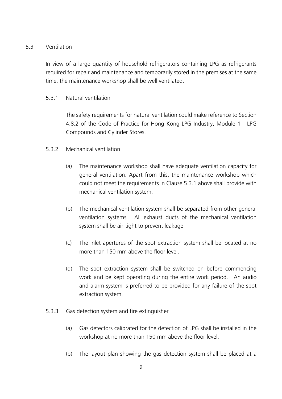## 5.3 Ventilation

In view of a large quantity of household refrigerators containing LPG as refrigerants required for repair and maintenance and temporarily stored in the premises at the same time, the maintenance workshop shall be well ventilated.

#### 5.3.1 Natural ventilation

The safety requirements for natural ventilation could make reference to Section 4.8.2 of the Code of Practice for Hong Kong LPG Industry, Module 1 - LPG Compounds and Cylinder Stores.

## 5.3.2 Mechanical ventilation

- (a) The maintenance workshop shall have adequate ventilation capacity for general ventilation. Apart from this, the maintenance workshop which could not meet the requirements in Clause 5.3.1 above shall provide with mechanical ventilation system.
- (b) The mechanical ventilation system shall be separated from other general ventilation systems. All exhaust ducts of the mechanical ventilation system shall be air-tight to prevent leakage.
- (c) The inlet apertures of the spot extraction system shall be located at no more than 150 mm above the floor level.
- (d) The spot extraction system shall be switched on before commencing work and be kept operating during the entire work period. An audio and alarm system is preferred to be provided for any failure of the spot extraction system.
- 5.3.3 Gas detection system and fire extinguisher
	- (a) Gas detectors calibrated for the detection of LPG shall be installed in the workshop at no more than 150 mm above the floor level.
	- (b) The layout plan showing the gas detection system shall be placed at a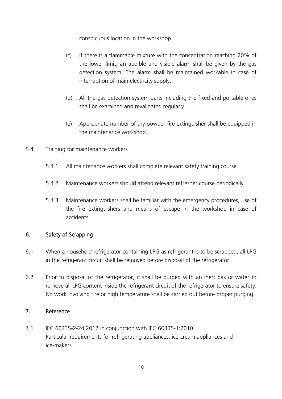conspicuous location in the workshop.

- (c) If there is a flammable mixture with the concentration reaching 20% of the lower limit, an audible and visible alarm shall be given by the gas detection system. The alarm shall be maintained workable in case of interruption of main electricity supply.
- (d) All the gas detection system parts including the fixed and portable ones shall be examined and revalidated regularly.
- (e) Appropriate number of dry powder fire extinguisher shall be equipped in the maintenance workshop.
- 5.4 Training for maintenance workers
	- 5.4.1 All maintenance workers shall complete relevant safety training course.
	- 5.4.2 Maintenance workers should attend relevant refresher course periodically.
	- 5.4.3 Maintenance workers shall be familiar with the emergency procedures, use of the fire extinguishers and means of escape in the workshop in case of accidents.

# 6. Safety of Scrapping

- 6.1 When a household refrigerator containing LPG as refrigerant is to be scrapped, all LPG in the refrigerant circuit shall be removed before disposal of the refrigerator.
- 6.2 Prior to disposal of the refrigerator, it shall be purged with an inert gas or water to remove all LPG content inside the refrigerant circuit of the refrigerator to ensure safety. No work involving fire or high temperature shall be carried out before proper purging.

## 7. Reference

7.1 IEC 60335-2-24:2012 in conjunction with IEC 60335-1:2010 Particular requirements for refrigerating appliances, ice-cream appliances and ice-makers